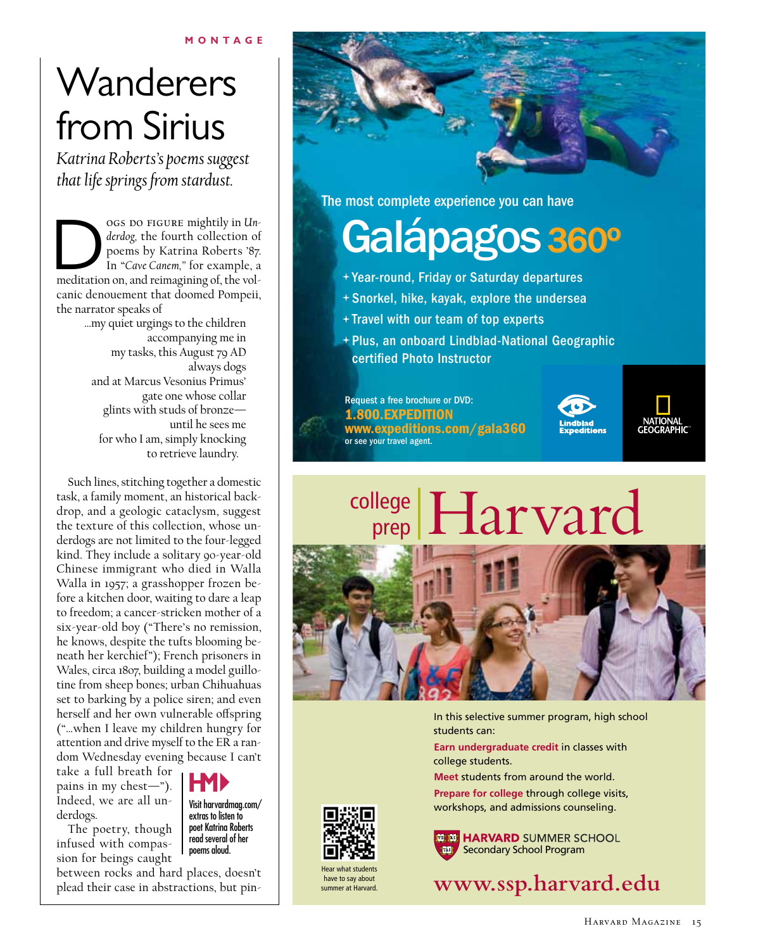# **Wanderers** from Sirius

*Katrina Roberts's poems suggest that life springs from stardust.*

OGS DO FIGURE mightily in *Un-derdog*, the fourth collection of poems by Katrina Roberts '87. In "*Cave Canem*," for example, a meditation on, and reimagining of, the vol*derdog,* the fourth collection of poems by Katrina Roberts '87. In "*Cave Canem,"* for example, a canic denouement that doomed Pompeii, the narrator speaks of

> …my quiet urgings to the children accompanying me in my tasks, this August 79 AD always dogs and at Marcus Vesonius Primus' gate one whose collar glints with studs of bronze until he sees me for who I am, simply knocking to retrieve laundry.

Such lines, stitching together a domestic task, a family moment, an historical backdrop, and a geologic cataclysm, suggest the texture of this collection, whose underdogs are not limited to the four-legged kind. They include a solitary 90-year-old Chinese immigrant who died in Walla Walla in 1957; a grasshopper frozen before a kitchen door, waiting to dare a leap to freedom; a cancer-stricken mother of a six-year-old boy ("There's no remission, he knows, despite the tufts blooming beneath her kerchief"); French prisoners in Wales, circa 1807, building a model guillotine from sheep bones; urban Chihuahuas set to barking by a police siren; and even herself and her own vulnerable offspring ("…when I leave my children hungry for attention and drive myself to the ER a random Wednesday evening because I can't

take a full breath for pains in my chest—"). Indeed, we are all underdogs.

The poetry, though infused with compassion for beings caught

Visit harvardmag.com/ extras to listen to poet Katrina Roberts read several of her poems aloud.

between rocks and hard places, doesn't plead their case in abstractions, but pin-



The most complete experience you can have

# Galápagos 360º

- Year-round, Friday or Saturday departures
- Snorkel, hike, kayak, explore the undersea
- + Travel with our team of top experts
- Plus, an onboard Lindblad-National Geographic certified Photo Instructor

Request a free brochure or DVD: 1.800.EXPEDITION www.expeditions.com/gala360 or see your travel agent.





# college Harvard



In this selective summer program, high school students can:

**Earn undergraduate credit** in classes with college students.

**Meet** students from around the world. **Prepare for college** through college visits, workshops, and admissions counseling.



Hear what students have to say about summer at Harvard.

**FEED HARVARD SUMMER SCHOOL** Secondary School Program

**www.ssp.harvard.edu**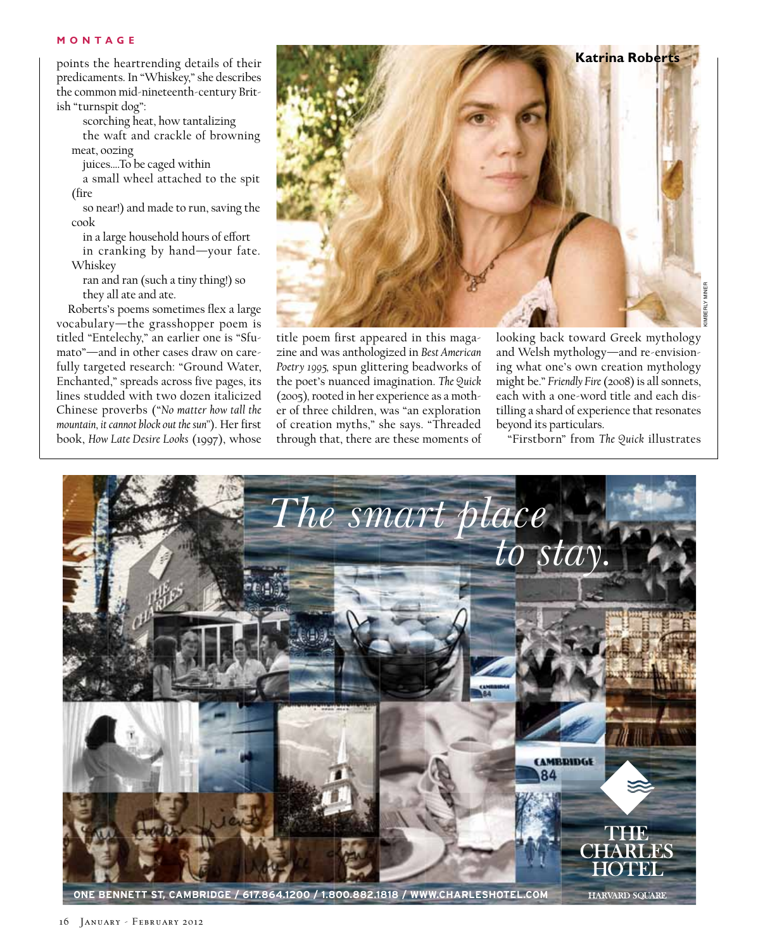points the heartrending details of their predicaments. In "Whiskey," she describes the common mid-nineteenth-century British "turnspit dog":

scorching heat, how tantalizing the waft and crackle of browning meat, oozing

juices….To be caged within

a small wheel attached to the spit (fire

so near!) and made to run, saving the cook

in a large household hours of effort in cranking by hand—your fate. Whiskey

ran and ran (such a tiny thing!) so they all ate and ate.

Roberts's poems sometimes flex a large vocabulary—the grasshopper poem is titled "Entelechy," an earlier one is "Sfumato"—and in other cases draw on carefully targeted research: "Ground Water, Enchanted," spreads across five pages, its lines studded with two dozen italicized Chinese proverbs ("*No matter how tall the mountain, it cannot block out the sun"*). Her first book, *How Late Desire Looks* (1997), whose



title poem first appeared in this magazine and was anthologized in *Best American Poetry 1995,* spun glittering beadworks of the poet's nuanced imagination. *The Quick*  (2005)*,* rooted in her experience as a mother of three children, was "an exploration of creation myths," she says. "Threaded through that, there are these moments of looking back toward Greek mythology and Welsh mythology—and re-envisioning what one's own creation mythology might be." *Friendly Fire* (2008) is all sonnets, each with a one-word title and each distilling a shard of experience that resonates beyond its particulars.

"Firstborn" from *The Quick* illustrates



16 January - February 2012

HARVARD SQUARE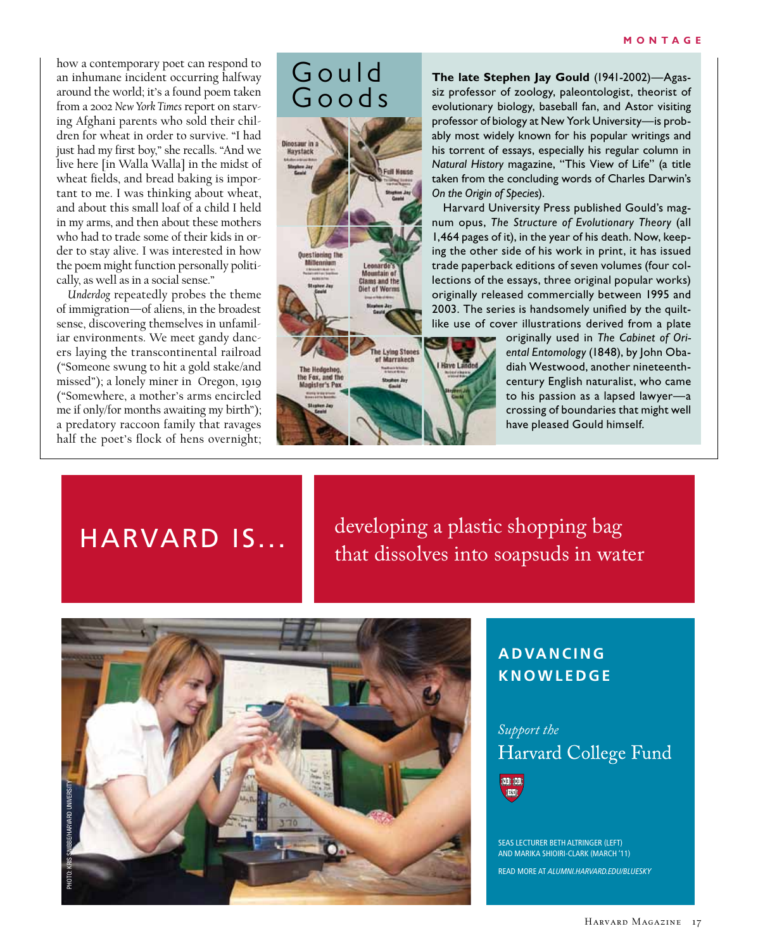how a contemporary poet can respond to an inhumane incident occurring halfway around the world; it's a found poem taken from a 2002 *New York Times* report on starving Afghani parents who sold their children for wheat in order to survive. "I had just had my first boy," she recalls. "And we live here [in Walla Walla] in the midst of wheat fields, and bread baking is important to me. I was thinking about wheat, and about this small loaf of a child I held in my arms, and then about these mothers who had to trade some of their kids in order to stay alive. I was interested in how the poem might function personally politically, as well as in a social sense."

*Underdog* repeatedly probes the theme of immigration—of aliens, in the broadest sense, discovering themselves in unfamiliar environments. We meet gandy dancers laying the transcontinental railroad ("Someone swung to hit a gold stake/and missed"); a lonely miner in Oregon, 1919 ("Somewhere, a mother's arms encircled me if only/for months awaiting my birth"); a predatory raccoon family that ravages half the poet's flock of hens overnight;

### Gould Goods

lountain e **Clams and th** 

farrakect

Dinosaur in<br>Haystack

**The late Stephen Jay Gould** (1941-2002)—Agassiz professor of zoology, paleontologist, theorist of evolutionary biology, baseball fan, and Astor visiting professor of biology at New York University—is probably most widely known for his popular writings and his torrent of essays, especially his regular column in *Natural History* magazine, "This View of Life" (a title taken from the concluding words of Charles Darwin's *On the Origin of Species*).

Harvard University Press published Gould's magnum opus, *The Structure of Evolutionary Theory* (all 1,464 pages of it), in the year of his death. Now, keeping the other side of his work in print, it has issued trade paperback editions of seven volumes (four collections of the essays, three original popular works) originally released commercially between 1995 and 2003. The series is handsomely unified by the quiltlike use of cover illustrations derived from a plate

> originally used in *The Cabinet of Oriental Entomology* (1848), by John Obadiah Westwood, another nineteenthcentury English naturalist, who came to his passion as a lapsed lawyer—a crossing of boundaries that might well have pleased Gould himself.

## Harvard is...

developing a plastic shopping bag that dissolves into soapsuds in water



#### **a d va n c i n g knowledge**

#### *Support the* Harvard College Fund



SEAS LEcturEr BEth ALtringEr (LEft) And MArikA Shioiri-cLArk (MArch '11)

READ MORE AT *ALUMNI.HARVARD.EDU/BLUESKY*